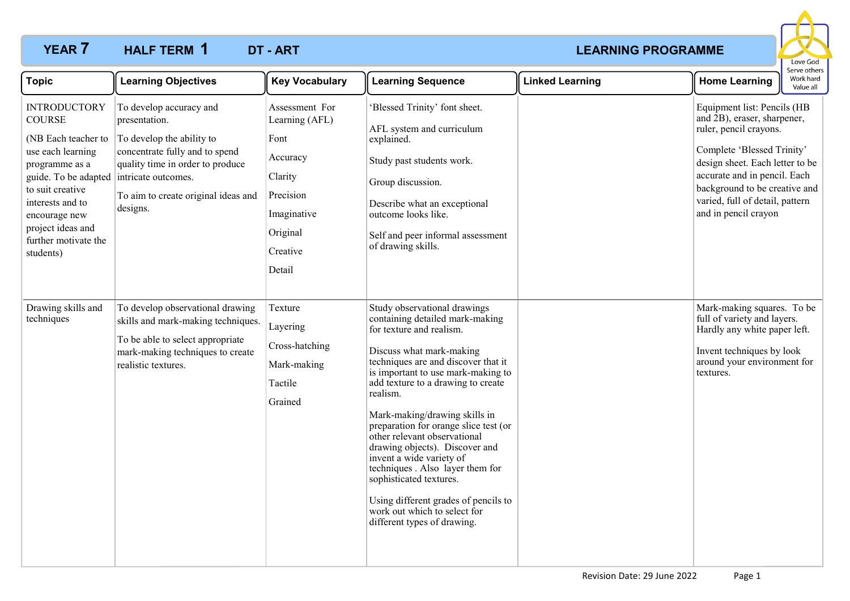# **YEAR 7 HALF TERM 1 DT - ART** *CONSTRUCTER AND EXAMPLE ART* **CONSTRUCTER AND EXAMPLE ART HALF TERM DT - ART 1**



| <b>Topic</b>                                                                                                                                                                                                                                                      | <b>Learning Objectives</b>                                                                                                                                                                     | <b>Key Vocabulary</b>                                                                                                         | <b>Learning Sequence</b>                                                                                                                                                                                                                                                                                                                                                                                                                                                                                                                                                                             | <b>Linked Learning</b> | <b>Home Learning</b>                                                                                                                                                                                                                                                              | serve other:<br>Work hard<br>Value all |
|-------------------------------------------------------------------------------------------------------------------------------------------------------------------------------------------------------------------------------------------------------------------|------------------------------------------------------------------------------------------------------------------------------------------------------------------------------------------------|-------------------------------------------------------------------------------------------------------------------------------|------------------------------------------------------------------------------------------------------------------------------------------------------------------------------------------------------------------------------------------------------------------------------------------------------------------------------------------------------------------------------------------------------------------------------------------------------------------------------------------------------------------------------------------------------------------------------------------------------|------------------------|-----------------------------------------------------------------------------------------------------------------------------------------------------------------------------------------------------------------------------------------------------------------------------------|----------------------------------------|
| <b>INTRODUCTORY</b><br><b>COURSE</b><br>(NB Each teacher to<br>use each learning<br>programme as a<br>guide. To be adapted intricate outcomes.<br>to suit creative<br>interests and to<br>encourage new<br>project ideas and<br>further motivate the<br>students) | To develop accuracy and<br>presentation.<br>To develop the ability to<br>concentrate fully and to spend<br>quality time in order to produce<br>To aim to create original ideas and<br>designs. | Assessment For<br>Learning (AFL)<br>Font<br>Accuracy<br>Clarity<br>Precision<br>Imaginative<br>Original<br>Creative<br>Detail | 'Blessed Trinity' font sheet.<br>AFL system and curriculum<br>explained.<br>Study past students work.<br>Group discussion.<br>Describe what an exceptional<br>outcome looks like.<br>Self and peer informal assessment<br>of drawing skills.                                                                                                                                                                                                                                                                                                                                                         |                        | Equipment list: Pencils (HB<br>and 2B), eraser, sharpener,<br>ruler, pencil crayons.<br>Complete 'Blessed Trinity'<br>design sheet. Each letter to be<br>accurate and in pencil. Each<br>background to be creative and<br>varied, full of detail, pattern<br>and in pencil crayon |                                        |
| Drawing skills and<br>techniques                                                                                                                                                                                                                                  | To develop observational drawing<br>skills and mark-making techniques.<br>To be able to select appropriate<br>mark-making techniques to create<br>realistic textures.                          | Texture<br>Layering<br>Cross-hatching<br>Mark-making<br>Tactile<br>Grained                                                    | Study observational drawings<br>containing detailed mark-making<br>for texture and realism.<br>Discuss what mark-making<br>techniques are and discover that it<br>is important to use mark-making to<br>add texture to a drawing to create<br>realism.<br>Mark-making/drawing skills in<br>preparation for orange slice test (or<br>other relevant observational<br>drawing objects). Discover and<br>invent a wide variety of<br>techniques . Also layer them for<br>sophisticated textures.<br>Using different grades of pencils to<br>work out which to select for<br>different types of drawing. |                        | Mark-making squares. To be<br>full of variety and layers.<br>Hardly any white paper left.<br>Invent techniques by look<br>around your environment for<br>textures.                                                                                                                |                                        |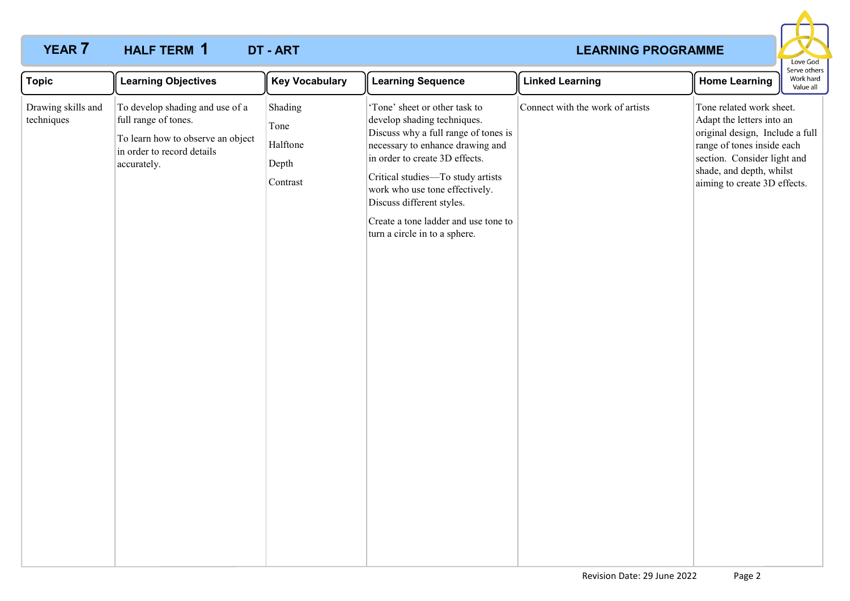## **YEAR 7 HALF TERM 1 DT - ART** *CONSTRUCTER AND EXAMPLE ART* **CONSTRUCTER AND EXAMPLE ART HALF TERM DT - ART 1**



| To develop shading and use of a<br>Shading<br>'Tone' sheet or other task to<br>Connect with the work of artists<br>Tone related work sheet.<br>Drawing skills and<br>techniques<br>full range of tones.<br>develop shading techniques.<br>Adapt the letters into an<br>Tone<br>Discuss why a full range of tones is<br>original design, Include a full<br>To learn how to observe an object<br>Halftone<br>necessary to enhance drawing and<br>range of tones inside each<br>in order to record details<br>in order to create 3D effects.<br>section. Consider light and<br>Depth<br>accurately.<br>shade, and depth, whilst<br>Critical studies-To study artists<br>Contrast<br>aiming to create 3D effects.<br>work who use tone effectively.<br>Discuss different styles.<br>Create a tone ladder and use tone to<br>turn a circle in to a sphere. | <b>Topic</b> | <b>Learning Objectives</b> | <b>Key Vocabulary</b> | <b>Learning Sequence</b> | <b>Linked Learning</b> | <b>Home Learning</b> | Work hard<br>Value all |
|-------------------------------------------------------------------------------------------------------------------------------------------------------------------------------------------------------------------------------------------------------------------------------------------------------------------------------------------------------------------------------------------------------------------------------------------------------------------------------------------------------------------------------------------------------------------------------------------------------------------------------------------------------------------------------------------------------------------------------------------------------------------------------------------------------------------------------------------------------|--------------|----------------------------|-----------------------|--------------------------|------------------------|----------------------|------------------------|
|                                                                                                                                                                                                                                                                                                                                                                                                                                                                                                                                                                                                                                                                                                                                                                                                                                                       |              |                            |                       |                          |                        |                      |                        |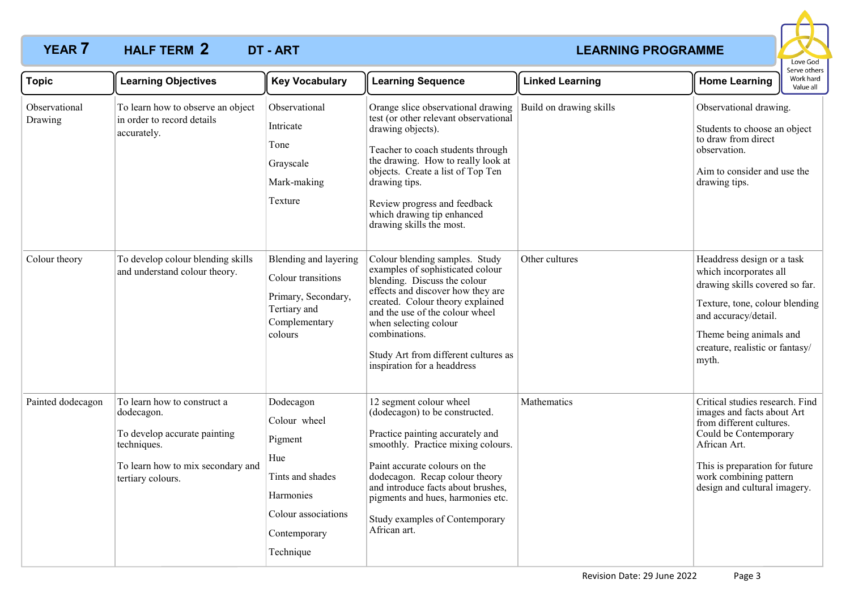# **YEAR 7 HALF TERM 2 DT - ART** *CONSTRUCTER <b>LEARNING PROGRAMME* **HALF TERM DT - ART 2**



| <b>Topic</b>             | <b>Learning Objectives</b>                                                                                                                         | <b>Key Vocabulary</b>                                                                                                            | <b>Learning Sequence</b>                                                                                                                                                                                                                                                                                                            | <b>Linked Learning</b>  | <b>Home Learning</b>                                                                                                                                                                                                           | יוטר ואר<br>Work hard<br>Value all |
|--------------------------|----------------------------------------------------------------------------------------------------------------------------------------------------|----------------------------------------------------------------------------------------------------------------------------------|-------------------------------------------------------------------------------------------------------------------------------------------------------------------------------------------------------------------------------------------------------------------------------------------------------------------------------------|-------------------------|--------------------------------------------------------------------------------------------------------------------------------------------------------------------------------------------------------------------------------|------------------------------------|
| Observational<br>Drawing | To learn how to observe an object<br>in order to record details<br>accurately.                                                                     | Observational<br>Intricate<br>Tone<br>Grayscale<br>Mark-making<br>Texture                                                        | Orange slice observational drawing<br>test (or other relevant observational<br>drawing objects).<br>Teacher to coach students through<br>the drawing. How to really look at<br>objects. Create a list of Top Ten<br>drawing tips.<br>Review progress and feedback<br>which drawing tip enhanced<br>drawing skills the most.         | Build on drawing skills | Observational drawing.<br>Students to choose an object<br>to draw from direct<br>observation.<br>Aim to consider and use the<br>drawing tips.                                                                                  |                                    |
| Colour theory            | To develop colour blending skills<br>and understand colour theory.                                                                                 | Blending and layering<br>Colour transitions<br>Primary, Secondary,<br>Tertiary and<br>Complementary<br>colours                   | Colour blending samples. Study<br>examples of sophisticated colour<br>blending. Discuss the colour<br>effects and discover how they are<br>created. Colour theory explained<br>and the use of the colour wheel<br>when selecting colour<br>combinations.<br>Study Art from different cultures as<br>inspiration for a headdress     | Other cultures          | Headdress design or a task<br>which incorporates all<br>drawing skills covered so far.<br>Texture, tone, colour blending<br>and accuracy/detail.<br>Theme being animals and<br>creature, realistic or fantasy/<br>myth.        |                                    |
| Painted dodecagon        | To learn how to construct a<br>dodecagon.<br>To develop accurate painting<br>techniques.<br>To learn how to mix secondary and<br>tertiary colours. | Dodecagon<br>Colour wheel<br>Pigment<br>Hue<br>Tints and shades<br>Harmonies<br>Colour associations<br>Contemporary<br>Technique | 12 segment colour wheel<br>(dodecagon) to be constructed.<br>Practice painting accurately and<br>smoothly. Practice mixing colours.<br>Paint accurate colours on the<br>dodecagon. Recap colour theory<br>and introduce facts about brushes,<br>pigments and hues, harmonies etc.<br>Study examples of Contemporary<br>African art. | Mathematics             | Critical studies research. Find<br>images and facts about Art<br>from different cultures.<br>Could be Contemporary<br>African Art.<br>This is preparation for future<br>work combining pattern<br>design and cultural imagery. |                                    |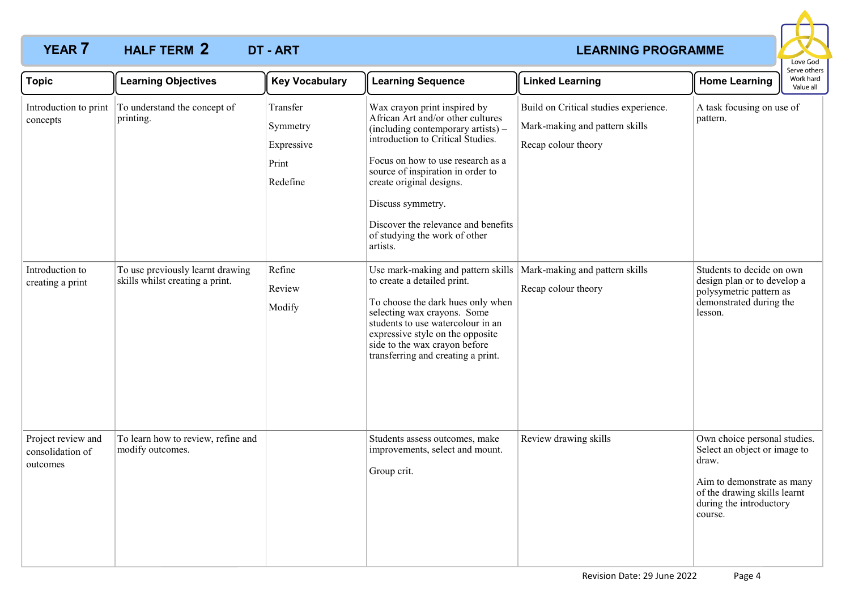# **YEAR 7 HALF TERM 2 DT - ART** *CONSTRUCTER <b>LEARNING PROGRAMME* **HALF TERM DT - ART 2**



| <b>Topic</b>                                       | <b>Learning Objectives</b>                                          | <b>Key Vocabulary</b>                                   | <b>Learning Sequence</b>                                                                                                                                                                                                                                                                                                                                    | <b>Linked Learning</b>                                                                         | <b>Home Learning</b>                                                                                                                                                      | Serve others<br>Work hard<br>Value all |
|----------------------------------------------------|---------------------------------------------------------------------|---------------------------------------------------------|-------------------------------------------------------------------------------------------------------------------------------------------------------------------------------------------------------------------------------------------------------------------------------------------------------------------------------------------------------------|------------------------------------------------------------------------------------------------|---------------------------------------------------------------------------------------------------------------------------------------------------------------------------|----------------------------------------|
| Introduction to print<br>concepts                  | To understand the concept of<br>printing.                           | Transfer<br>Symmetry<br>Expressive<br>Print<br>Redefine | Wax crayon print inspired by<br>African Art and/or other cultures<br>(including contemporary artists) -<br>introduction to Critical Studies.<br>Focus on how to use research as a<br>source of inspiration in order to<br>create original designs.<br>Discuss symmetry.<br>Discover the relevance and benefits<br>of studying the work of other<br>artists. | Build on Critical studies experience.<br>Mark-making and pattern skills<br>Recap colour theory | A task focusing on use of<br>pattern.                                                                                                                                     |                                        |
| Introduction to<br>creating a print                | To use previously learnt drawing<br>skills whilst creating a print. | Refine<br>Review<br>Modify                              | Use mark-making and pattern skills   Mark-making and pattern skills<br>to create a detailed print.<br>To choose the dark hues only when<br>selecting wax crayons. Some<br>students to use watercolour in an<br>expressive style on the opposite<br>side to the wax crayon before<br>transferring and creating a print.                                      | Recap colour theory                                                                            | Students to decide on own<br>design plan or to develop a<br>polysymetric pattern as<br>demonstrated during the<br>lesson.                                                 |                                        |
| Project review and<br>consolidation of<br>outcomes | To learn how to review, refine and<br>modify outcomes.              |                                                         | Students assess outcomes, make<br>improvements, select and mount.<br>Group crit.                                                                                                                                                                                                                                                                            | Review drawing skills                                                                          | Own choice personal studies.<br>Select an object or image to<br>draw.<br>Aim to demonstrate as many<br>of the drawing skills learnt<br>during the introductory<br>course. |                                        |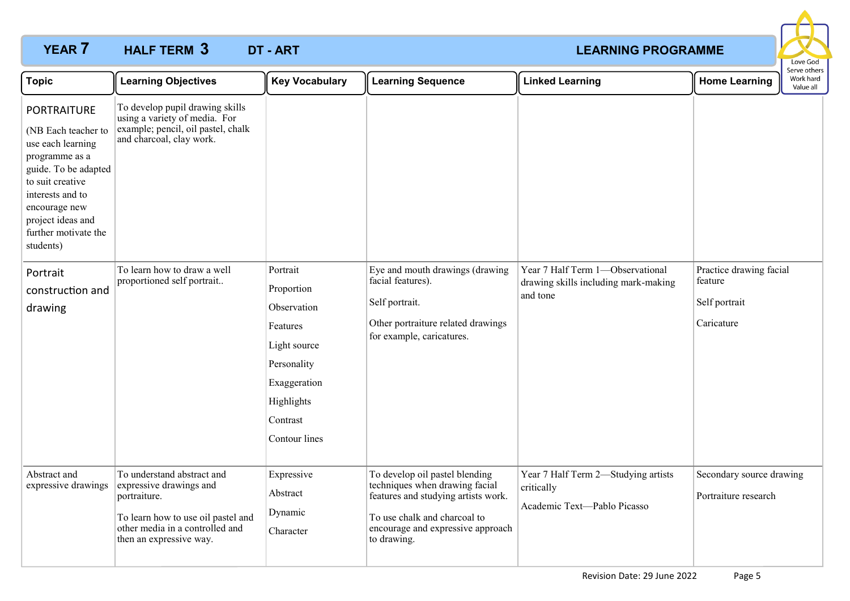# **YEAR 7 HALF TERM 3 DT - ART** *CONSTRUCTER AND EXAMPLE ART* **CONSTRUCTER AND EXAMPLE ART HALF TERM DT - ART 3**



| <b>Topic</b>                                                                                                                                                                                                                                                           | <b>Learning Objectives</b>                                                                                                                                                                      | <b>Key Vocabulary</b>                                                                                                                       | <b>Learning Sequence</b>                                                                                                                                                                    | <b>Linked Learning</b>                                                               | <b>Home Learning</b>                                              | Serve others<br>Work hard<br>Value all |
|------------------------------------------------------------------------------------------------------------------------------------------------------------------------------------------------------------------------------------------------------------------------|-------------------------------------------------------------------------------------------------------------------------------------------------------------------------------------------------|---------------------------------------------------------------------------------------------------------------------------------------------|---------------------------------------------------------------------------------------------------------------------------------------------------------------------------------------------|--------------------------------------------------------------------------------------|-------------------------------------------------------------------|----------------------------------------|
| <b>PORTRAITURE</b><br>(NB Each teacher to<br>use each learning<br>programme as a<br>guide. To be adapted<br>to suit creative<br>interests and to<br>encourage new<br>project ideas and<br>further motivate the<br>students)<br>Portrait<br>construction and<br>drawing | To develop pupil drawing skills<br>using a variety of media. For<br>example; pencil, oil pastel, chalk<br>and charcoal, clay work.<br>To learn how to draw a well<br>proportioned self portrait | Portrait<br>Proportion<br>Observation<br>Features<br>Light source<br>Personality<br>Exaggeration<br>Highlights<br>Contrast<br>Contour lines | Eye and mouth drawings (drawing<br>facial features).<br>Self portrait.<br>Other portraiture related drawings<br>for example, caricatures.                                                   | Year 7 Half Term 1-Observational<br>drawing skills including mark-making<br>and tone | Practice drawing facial<br>feature<br>Self portrait<br>Caricature |                                        |
| Abstract and<br>expressive drawings                                                                                                                                                                                                                                    | To understand abstract and<br>expressive drawings and<br>portraiture.<br>To learn how to use oil pastel and<br>other media in a controlled and<br>then an expressive way.                       | Expressive<br>Abstract<br>Dynamic<br>Character                                                                                              | To develop oil pastel blending<br>techniques when drawing facial<br>features and studying artists work.<br>To use chalk and charcoal to<br>encourage and expressive approach<br>to drawing. | Year 7 Half Term 2-Studying artists<br>critically<br>Academic Text-Pablo Picasso     | Secondary source drawing<br>Portraiture research                  |                                        |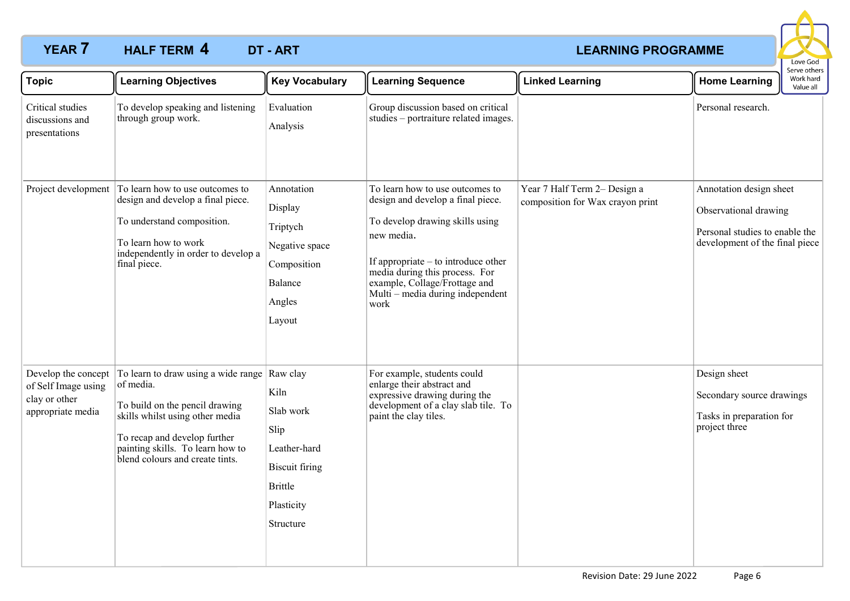# **YEAR 7 HALF TERM 4 DT - ART** *CONSTRUCTER AND EXAMPLE ART CONSTRUCTER AND EXAMPLE ART* **HALF TERM DT - ART 4**



| <b>Topic</b>                                                                     | <b>Learning Objectives</b>                                                                                                                                                                                                   | <b>Key Vocabulary</b>                                                                                                       | <b>Learning Sequence</b>                                                                                                                                                                                                                                                      | <b>Linked Learning</b>                                           | <b>Home Learning</b>                                                                                                 | Serve others<br>Work hard<br>Value all |
|----------------------------------------------------------------------------------|------------------------------------------------------------------------------------------------------------------------------------------------------------------------------------------------------------------------------|-----------------------------------------------------------------------------------------------------------------------------|-------------------------------------------------------------------------------------------------------------------------------------------------------------------------------------------------------------------------------------------------------------------------------|------------------------------------------------------------------|----------------------------------------------------------------------------------------------------------------------|----------------------------------------|
| Critical studies<br>discussions and<br>presentations                             | To develop speaking and listening<br>through group work.                                                                                                                                                                     | Evaluation<br>Analysis                                                                                                      | Group discussion based on critical<br>studies - portraiture related images.                                                                                                                                                                                                   |                                                                  | Personal research.                                                                                                   |                                        |
| Project development                                                              | To learn how to use outcomes to<br>design and develop a final piece.<br>To understand composition.<br>To learn how to work<br>independently in order to develop a<br>final piece.                                            | Annotation<br>Display<br>Triptych<br>Negative space<br>Composition<br>Balance<br>Angles<br>Layout                           | To learn how to use outcomes to<br>design and develop a final piece.<br>To develop drawing skills using<br>new media.<br>If appropriate $-$ to introduce other<br>media during this process. For<br>example, Collage/Frottage and<br>Multi – media during independent<br>work | Year 7 Half Term 2- Design a<br>composition for Wax crayon print | Annotation design sheet<br>Observational drawing<br>Personal studies to enable the<br>development of the final piece |                                        |
| Develop the concept<br>of Self Image using<br>clay or other<br>appropriate media | To learn to draw using a wide range<br>of media.<br>To build on the pencil drawing<br>skills whilst using other media<br>To recap and develop further<br>painting skills. To learn how to<br>blend colours and create tints. | Raw clay<br>Kiln<br>Slab work<br>Slip<br>Leather-hard<br><b>Biscuit firing</b><br><b>Brittle</b><br>Plasticity<br>Structure | For example, students could<br>enlarge their abstract and<br>expressive drawing during the<br>development of a clay slab tile. To<br>paint the clay tiles.                                                                                                                    |                                                                  | Design sheet<br>Secondary source drawings<br>Tasks in preparation for<br>project three                               |                                        |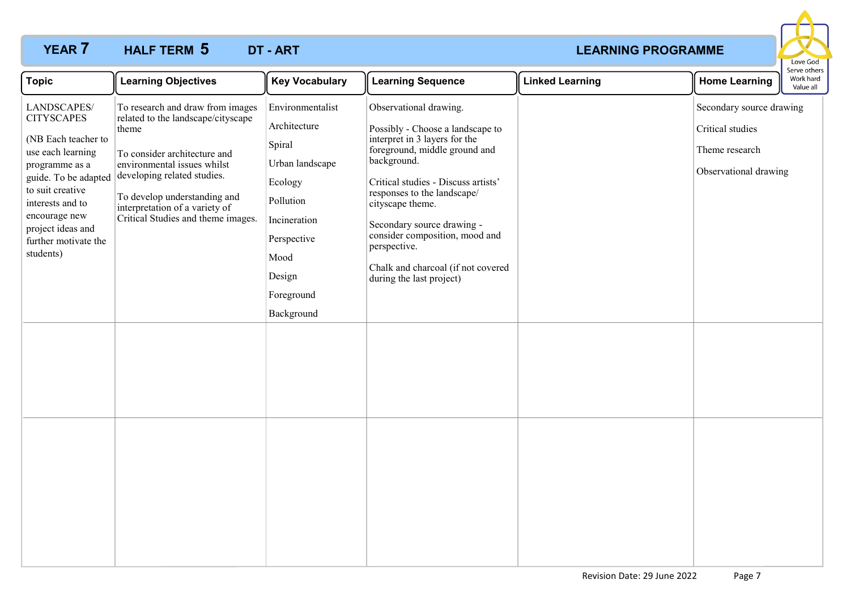# **YEAR 7 HALF TERM 5 DT - ART** *CONSTRUCTER AND EXAMPLE ART* **CONSTRUCTER AND EXAMPLE ART HALF TERM DT - ART 5**



| <b>Topic</b>                                                                                                                                                                                                                              | <b>Learning Objectives</b>                                                                                                                                                                                                                                                            | <b>Key Vocabulary</b>                                                                                                                                              | <b>Learning Sequence</b>                                                                                                                                                                                                                                                                                                                                                                | <b>Linked Learning</b> | <b>Home Learning</b>                                                                    | Serve others<br>Work hard<br>Value all |
|-------------------------------------------------------------------------------------------------------------------------------------------------------------------------------------------------------------------------------------------|---------------------------------------------------------------------------------------------------------------------------------------------------------------------------------------------------------------------------------------------------------------------------------------|--------------------------------------------------------------------------------------------------------------------------------------------------------------------|-----------------------------------------------------------------------------------------------------------------------------------------------------------------------------------------------------------------------------------------------------------------------------------------------------------------------------------------------------------------------------------------|------------------------|-----------------------------------------------------------------------------------------|----------------------------------------|
| LANDSCAPES/<br><b>CITYSCAPES</b><br>(NB Each teacher to<br>use each learning<br>programme as a<br>guide. To be adapted<br>to suit creative<br>interests and to<br>encourage new<br>project ideas and<br>further motivate the<br>students) | To research and draw from images<br>related to the landscape/cityscape<br>theme<br>To consider architecture and<br>environmental issues whilst<br>developing related studies.<br>To develop understanding and<br>interpretation of a variety of<br>Critical Studies and theme images. | Environmentalist<br>Architecture<br>Spiral<br>Urban landscape<br>Ecology<br>Pollution<br>Incineration<br>Perspective<br>Mood<br>Design<br>Foreground<br>Background | Observational drawing.<br>Possibly - Choose a landscape to<br>interpret in 3 layers for the<br>foreground, middle ground and<br>background.<br>Critical studies - Discuss artists'<br>responses to the landscape/<br>cityscape theme.<br>Secondary source drawing -<br>consider composition, mood and<br>perspective.<br>Chalk and charcoal (if not covered<br>during the last project) |                        | Secondary source drawing<br>Critical studies<br>Theme research<br>Observational drawing |                                        |
|                                                                                                                                                                                                                                           |                                                                                                                                                                                                                                                                                       |                                                                                                                                                                    |                                                                                                                                                                                                                                                                                                                                                                                         |                        |                                                                                         |                                        |